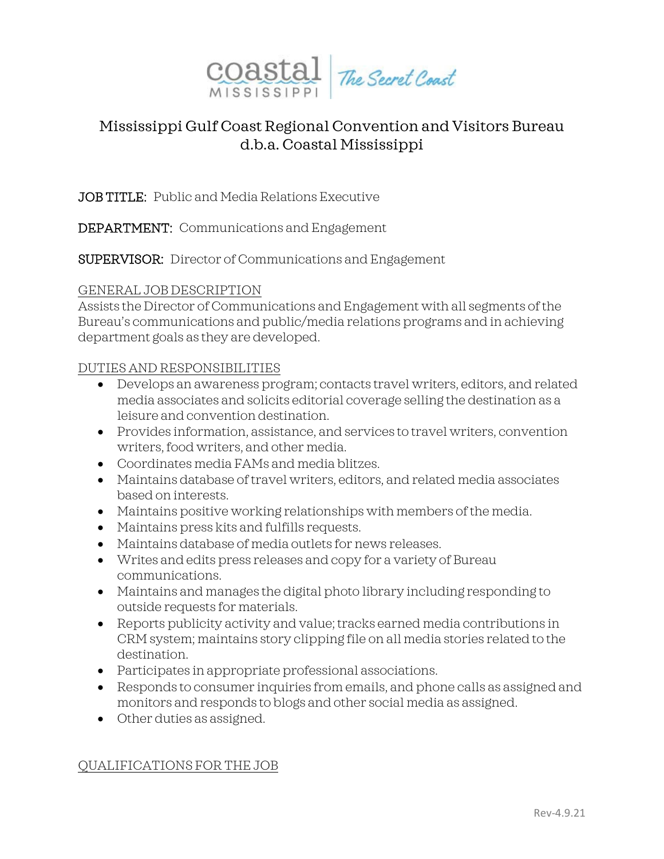

# Mississippi Gulf Coast Regional Convention and Visitors Bureau d.b.a. Coastal Mississippi

JOB TITLE: Public and Media Relations Executive

DEPARTMENT: Communications and Engagement

SUPERVISOR: Director of Communications and Engagement

## GENERAL JOB DESCRIPTION

Assists the Director of Communications and Engagement with all segments of the Bureau's communications and public/media relations programs and in achieving department goals as they are developed.

## DUTIES AND RESPONSIBILITIES

- Develops an awareness program; contacts travel writers, editors, and related media associates and solicits editorial coverage selling the destination as a leisure and convention destination.
- Provides information, assistance, and services to travel writers, convention writers, food writers, and other media.
- Coordinates media FAMs and media blitzes.
- Maintains database of travel writers, editors, and related media associates based on interests.
- Maintains positive working relationships with members of the media.
- Maintains press kits and fulfills requests.
- Maintains database of media outlets for news releases.
- Writes and edits press releases and copy for a variety of Bureau communications.
- Maintains and manages the digital photo library including responding to outside requests for materials.
- Reports publicity activity and value; tracks earned media contributions in CRM system; maintains story clipping file on all media stories related to the destination.
- Participates in appropriate professional associations.
- Responds to consumer inquiries from emails, and phone calls as assigned and monitors and responds to blogs and other social media as assigned.
- Other duties as assigned.

### QUALIFICATIONS FOR THE JOB